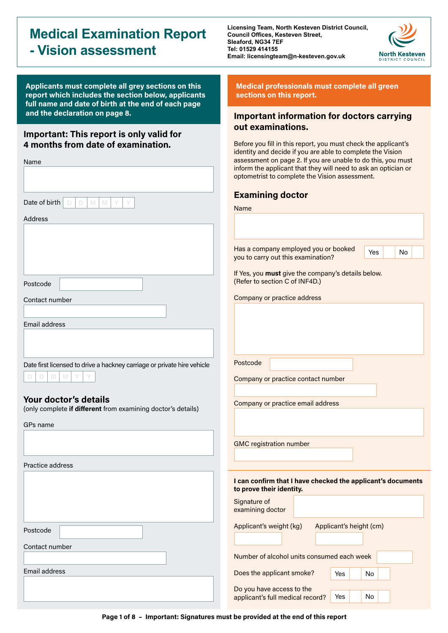# **Medical Examination Report - Vision assessment**

**Applicants must complete all grey sections on this report which includes the section below, applicants full name and date of birth at the end of each page** 

### **Important: This report is only valid for 4 months from date of examination.**

| Name                                                                                  | assessment on pa<br>inform the applica<br>optometrist to cor                        |
|---------------------------------------------------------------------------------------|-------------------------------------------------------------------------------------|
|                                                                                       | <b>Examining d</b>                                                                  |
| Date of birth<br>D<br>M<br>M<br>Y<br>Y<br>D                                           | Name                                                                                |
| <b>Address</b>                                                                        |                                                                                     |
|                                                                                       | Has a company e<br>you to carry out th<br>If Yes, you must g<br>(Refer to section ( |
| Postcode                                                                              |                                                                                     |
| Contact number                                                                        | Company or pract                                                                    |
| Email address                                                                         |                                                                                     |
|                                                                                       |                                                                                     |
|                                                                                       |                                                                                     |
| Date first licensed to drive a hackney carriage or private hire vehicle               | Postcode                                                                            |
| M<br>M<br>D<br>D                                                                      | Company or pract                                                                    |
|                                                                                       |                                                                                     |
| Your doctor's details<br>(only complete if different from examining doctor's details) | Company or pract                                                                    |
| GPs name                                                                              |                                                                                     |
|                                                                                       | <b>GMC</b> registration                                                             |
|                                                                                       |                                                                                     |
| Practice address                                                                      |                                                                                     |
|                                                                                       | I can confirm tha<br>to prove their ide                                             |
|                                                                                       | Signature of<br>examining doctor                                                    |
| Postcode                                                                              | Applicant's weigh                                                                   |
| Contact number                                                                        | Number of alcoho                                                                    |
| Email address                                                                         |                                                                                     |
|                                                                                       | Does the applicar                                                                   |
|                                                                                       | Do you have acce<br>applicant's full me                                             |

**Licensing Team, North Kesteven District Council, Council Offices, Kesteven Street, Sleaford, NG34 7EF Tel: 01529 414155 Email: licensingteam@n-kesteven.gov.uk**



Yes No

**Medical professionals must complete all green sections on this report.**

# **and the declaration on page 8. Important information for doctors carrying out examinations.**

Before you fill in this report, you must check the applicant's identity and decide if you are able to complete the Vision age 2. If you are unable to do this, you must ant that they will need to ask an optician or mplete the Vision assessment.

## **p**ctor

mployed you or booked his examination?

ive the company's details below.  $C$  of INF4D.)

tice address

tice contact number

tice email address

number

**If I have checked the applicant's documents entity.** 

Yes No

Yes No

| signature of<br>examining doctor |                         |
|----------------------------------|-------------------------|
| Applicant's weight (kg)          | Applicant's height (cm) |
|                                  |                         |

I units consumed each week

nt smoke?

ess to the edical record?

**Page 1 of 8 – Important: Signatures must be provided at the end of this report**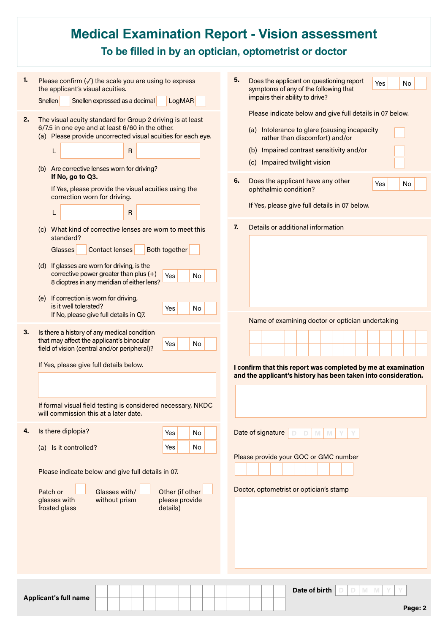| 5.<br>1.<br>Please confirm $(\sqrt{})$ the scale you are using to express<br>Does the applicant on questioning report<br>Yes<br><b>No</b><br>the applicant's visual acuities.<br>symptoms of any of the following that<br>impairs their ability to drive?<br><b>LogMAR</b><br><b>Snellen</b><br>Snellen expressed as a decimal<br>Please indicate below and give full details in 07 below.<br>2.<br>The visual acuity standard for Group 2 driving is at least<br>6/7.5 in one eye and at least 6/60 in the other.<br>(a) Intolerance to glare (causing incapacity<br>(a) Please provide uncorrected visual acuities for each eye.<br>rather than discomfort) and/or<br>(b) Impaired contrast sensitivity and/or<br>R<br>L<br>(c) Impaired twilight vision<br>(b) Are corrective lenses worn for driving?<br>If No, go to Q3.<br>6.<br>Does the applicant have any other<br>Yes<br>No<br>If Yes, please provide the visual acuities using the<br>ophthalmic condition?<br>correction worn for driving.<br>If Yes, please give full details in 07 below.<br>$\mathsf{R}$<br>L<br>Details or additional information<br>7.<br>(c) What kind of corrective lenses are worn to meet this<br>standard?<br><b>Contact lenses</b><br>Both together<br>Glasses<br>(d) If glasses are worn for driving, is the<br>corrective power greater than plus $(+)$<br>Yes<br><b>No</b><br>8 dioptres in any meridian of either lens?<br>(e) If correction is worn for driving,<br>is it well tolerated?<br>No<br>Yes<br>If No, please give full details in Q7.<br>Name of examining doctor or optician undertaking<br>3.<br>Is there a history of any medical condition<br>that may affect the applicant's binocular<br>Yes<br>No<br>field of vision (central and/or peripheral)?<br>If Yes, please give full details below.<br>I confirm that this report was completed by me at examination<br>and the applicant's history has been taken into consideration.<br>If formal visual field testing is considered necessary, NKDC<br>will commission this at a later date.<br>Is there diplopia?<br>4.<br>Date of signature<br><b>No</b><br>Yes<br>M<br>-M<br>(a) Is it controlled?<br>No<br>Yes<br>Please provide your GOC or GMC number<br>Please indicate below and give full details in 07.<br>Doctor, optometrist or optician's stamp<br>Glasses with/<br>Patch or<br>Other (if other<br>glasses with<br>without prism<br>please provide<br>frosted glass<br>details)<br>Date of birth<br>M<br>M<br><b>Applicant's full name</b> |  | <b>Medical Examination Report - Vision assessment</b><br>To be filled in by an optician, optometrist or doctor |
|-------------------------------------------------------------------------------------------------------------------------------------------------------------------------------------------------------------------------------------------------------------------------------------------------------------------------------------------------------------------------------------------------------------------------------------------------------------------------------------------------------------------------------------------------------------------------------------------------------------------------------------------------------------------------------------------------------------------------------------------------------------------------------------------------------------------------------------------------------------------------------------------------------------------------------------------------------------------------------------------------------------------------------------------------------------------------------------------------------------------------------------------------------------------------------------------------------------------------------------------------------------------------------------------------------------------------------------------------------------------------------------------------------------------------------------------------------------------------------------------------------------------------------------------------------------------------------------------------------------------------------------------------------------------------------------------------------------------------------------------------------------------------------------------------------------------------------------------------------------------------------------------------------------------------------------------------------------------------------------------------------------------------------------------------------------------------------------------------------------------------------------------------------------------------------------------------------------------------------------------------------------------------------------------------------------------------------------------------------------------------------------------------------------------------------------------------------------------------------------------------------------------|--|----------------------------------------------------------------------------------------------------------------|
|                                                                                                                                                                                                                                                                                                                                                                                                                                                                                                                                                                                                                                                                                                                                                                                                                                                                                                                                                                                                                                                                                                                                                                                                                                                                                                                                                                                                                                                                                                                                                                                                                                                                                                                                                                                                                                                                                                                                                                                                                                                                                                                                                                                                                                                                                                                                                                                                                                                                                                                   |  |                                                                                                                |
|                                                                                                                                                                                                                                                                                                                                                                                                                                                                                                                                                                                                                                                                                                                                                                                                                                                                                                                                                                                                                                                                                                                                                                                                                                                                                                                                                                                                                                                                                                                                                                                                                                                                                                                                                                                                                                                                                                                                                                                                                                                                                                                                                                                                                                                                                                                                                                                                                                                                                                                   |  |                                                                                                                |
|                                                                                                                                                                                                                                                                                                                                                                                                                                                                                                                                                                                                                                                                                                                                                                                                                                                                                                                                                                                                                                                                                                                                                                                                                                                                                                                                                                                                                                                                                                                                                                                                                                                                                                                                                                                                                                                                                                                                                                                                                                                                                                                                                                                                                                                                                                                                                                                                                                                                                                                   |  |                                                                                                                |
|                                                                                                                                                                                                                                                                                                                                                                                                                                                                                                                                                                                                                                                                                                                                                                                                                                                                                                                                                                                                                                                                                                                                                                                                                                                                                                                                                                                                                                                                                                                                                                                                                                                                                                                                                                                                                                                                                                                                                                                                                                                                                                                                                                                                                                                                                                                                                                                                                                                                                                                   |  |                                                                                                                |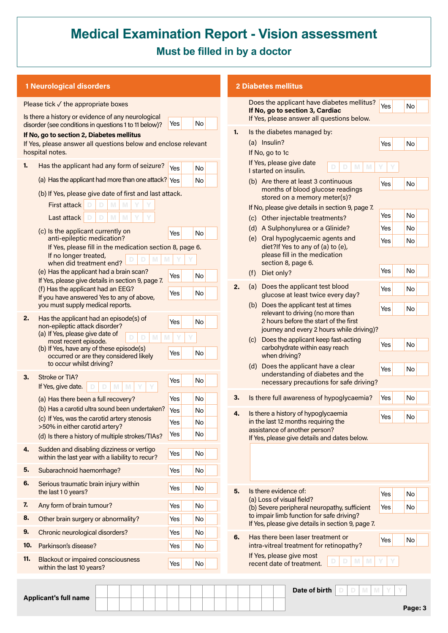# **Medical Examination Report - Vision assessment Must be filled in by a doctor**

| <b>1 Neurological disorders</b>                                                                                                                                                                                                                                                                      | <b>2 Diabetes mellitus</b>          |    |                                                                                                                                                                                                                                                                                                         |                   |  |
|------------------------------------------------------------------------------------------------------------------------------------------------------------------------------------------------------------------------------------------------------------------------------------------------------|-------------------------------------|----|---------------------------------------------------------------------------------------------------------------------------------------------------------------------------------------------------------------------------------------------------------------------------------------------------------|-------------------|--|
| Please tick $\checkmark$ the appropriate boxes                                                                                                                                                                                                                                                       |                                     |    | Does the applicant have diabetes mellitus?<br>If No, go to section 3, Cardiac                                                                                                                                                                                                                           | Yes               |  |
| Is there a history or evidence of any neurological<br>disorder (see conditions in questions 1 to 11 below)?                                                                                                                                                                                          | No<br>Yes                           |    | If Yes, please answer all questions below.                                                                                                                                                                                                                                                              |                   |  |
| If No, go to section 2, Diabetes mellitus<br>If Yes, please answer all questions below and enclose relevant<br>hospital notes.                                                                                                                                                                       |                                     | 1. | Is the diabetes managed by:<br>(a) Insulin?<br>If No, go to 1c<br>If Yes, please give date                                                                                                                                                                                                              | Yes               |  |
| Has the applicant had any form of seizure?<br>1.                                                                                                                                                                                                                                                     | Yes<br><b>No</b>                    |    | M<br>M<br>I started on insulin.                                                                                                                                                                                                                                                                         |                   |  |
| (a) Has the applicant had more than one attack? Yes<br>(b) If Yes, please give date of first and last attack.<br>First attack<br>M                                                                                                                                                                   | No                                  |    | (b) Are there at least 3 continuous<br>months of blood glucose readings<br>stored on a memory meter(s)?                                                                                                                                                                                                 | Yes               |  |
| M<br>M<br>Last attack<br>D<br>(c) Is the applicant currently on<br>anti-epileptic medication?<br>If Yes, please fill in the medication section 8, page 6.                                                                                                                                            | Yes<br>No                           |    | If No, please give details in section 9, page 7.<br>(c) Other injectable treatments?<br>(d) A Sulphonylurea or a Glinide?<br>(e) Oral hypoglycaemic agents and<br>diet?If Yes to any of (a) to (e),                                                                                                     | Yes<br>Yes<br>Yes |  |
| If no longer treated,<br>when did treatment end?<br>(e) Has the applicant had a brain scan?                                                                                                                                                                                                          |                                     |    | please fill in the medication<br>section 8, page 6.<br>Diet only?<br>(f)                                                                                                                                                                                                                                | Yes               |  |
| If Yes, please give details in section 9, page 7.<br>(f) Has the applicant had an EEG?<br>If you have answered Yes to any of above,                                                                                                                                                                  | No<br>Yes<br>No<br>Yes              | 2. | Does the applicant test blood<br>(a)<br>glucose at least twice every day?                                                                                                                                                                                                                               | Yes               |  |
| you must supply medical reports.<br>2.<br>Has the applicant had an episode(s) of<br>non-epileptic attack disorder?<br>(a) If Yes, please give date of<br>M<br>most recent episode.<br>(b) If Yes, have any of these episode(s)<br>occurred or are they considered likely<br>to occur whilst driving? | Yes<br>No<br>M<br>No<br>Yes         |    | (b) Does the applicant test at times<br>relevant to driving (no more than<br>2 hours before the start of the first<br>journey and every 2 hours while driving)?<br>Does the applicant keep fast-acting<br>(c)<br>carbohydrate within easy reach<br>when driving?<br>(d) Does the applicant have a clear | Yes<br>Yes        |  |
| Stroke or TIA?<br>3.<br>If Yes, give date.                                                                                                                                                                                                                                                           | No<br>Yes                           |    | understanding of diabetes and the<br>necessary precautions for safe driving?                                                                                                                                                                                                                            | Yes               |  |
| (a) Has there been a full recovery?                                                                                                                                                                                                                                                                  | Yes<br>No                           | З. | Is there full awareness of hypoglycaemia?                                                                                                                                                                                                                                                               | Yes               |  |
| (b) Has a carotid ultra sound been undertaken?<br>(c) If Yes, was the carotid artery stenosis<br>>50% in either carotid artery?<br>(d) Is there a history of multiple strokes/TIAs?                                                                                                                  | Yes<br>No<br>Yes<br>No<br>No<br>Yes | 4. | Is there a history of hypoglycaemia<br>in the last 12 months requiring the<br>assistance of another person?<br>If Yes, please give details and dates below.                                                                                                                                             | Yes               |  |
| Sudden and disabling dizziness or vertigo<br>4.<br>within the last year with a liability to recur?                                                                                                                                                                                                   | Yes<br>No                           |    |                                                                                                                                                                                                                                                                                                         |                   |  |
| 5.<br>Subarachnoid haemorrhage?                                                                                                                                                                                                                                                                      | No<br>Yes                           |    |                                                                                                                                                                                                                                                                                                         |                   |  |
| 6.<br>Serious traumatic brain injury within<br>the last 10 years?                                                                                                                                                                                                                                    | No<br>Yes                           | 5. | Is there evidence of:                                                                                                                                                                                                                                                                                   | Yes               |  |
| 7.<br>Any form of brain tumour?                                                                                                                                                                                                                                                                      | No<br>Yes                           |    | (a) Loss of visual field?<br>(b) Severe peripheral neuropathy, sufficient                                                                                                                                                                                                                               | Yes               |  |
| 8.<br>Other brain surgery or abnormality?                                                                                                                                                                                                                                                            | No<br>Yes                           |    | to impair limb function for safe driving?<br>If Yes, please give details in section 9, page 7.                                                                                                                                                                                                          |                   |  |
| 9.<br>Chronic neurological disorders?                                                                                                                                                                                                                                                                | No<br>Yes                           | 6. | Has there been laser treatment or                                                                                                                                                                                                                                                                       | Yes               |  |
| 10.<br>Parkinson's disease?                                                                                                                                                                                                                                                                          | No<br>Yes                           |    | intra-vitreal treatment for retinopathy?                                                                                                                                                                                                                                                                |                   |  |
| 11.<br><b>Blackout or impaired consciousness</b><br>within the last 10 years?                                                                                                                                                                                                                        | No<br>Yes                           |    | If Yes, please give most<br>M<br>recent date of treatment.                                                                                                                                                                                                                                              |                   |  |

**Applicant's full name**

 $Data$  of birth

**Page: 3**

Yes No

Yes No

Yes No

 $Yes$  No Yes No Yes No

Yes No

Yes No

Yes No

Yes No

Yes No

Yes No

Yes No

Yes No Yes No

Yes No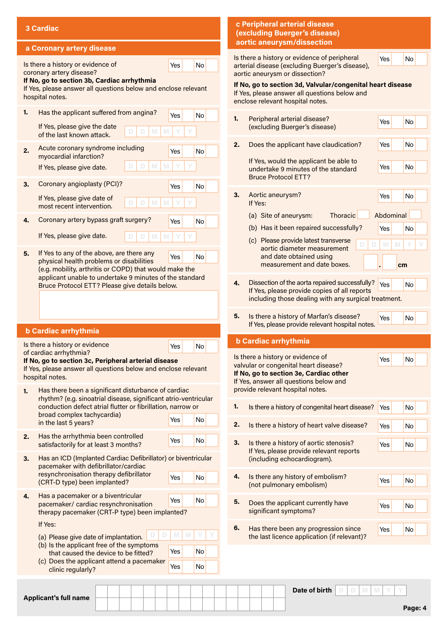|    | 3 Cardiac                                                                                                                                 | c Peripheral arterial disease<br>(excluding Buerger's disease)                                                                                  |
|----|-------------------------------------------------------------------------------------------------------------------------------------------|-------------------------------------------------------------------------------------------------------------------------------------------------|
|    | a Coronary artery disease                                                                                                                 | aortic aneurysm/dissection                                                                                                                      |
|    | Is there a history or evidence of<br>Yes<br>No<br>coronary artery disease?                                                                | Is there a history or evidence of peripheral<br>Yes<br>No<br>arterial disease (excluding Buerger's disease),<br>aortic aneurysm or dissection?  |
|    | If No, go to section 3b, Cardiac arrhythmia<br>If Yes, please answer all questions below and enclose relevant<br>hospital notes.          | If No, go to section 3d, Valvular/congenital heart disease<br>If Yes, please answer all questions below and<br>enclose relevant hospital notes. |
| 1. | Has the applicant suffered from angina?<br>No<br>Yes<br>If Yes, please give the date<br>of the last known attack.                         | 1.<br>Peripheral arterial disease?<br>Yes<br>No<br>(excluding Buerger's disease)                                                                |
| 2. | Acute coronary syndrome including<br>Yes<br>No<br>myocardial infarction?                                                                  | Does the applicant have claudication?<br>Yes<br>No<br>2.                                                                                        |
|    | If Yes, please give date.                                                                                                                 | If Yes, would the applicant be able to<br>No<br>Yes<br>undertake 9 minutes of the standard<br><b>Bruce Protocol ETT?</b>                        |
| 3. | Coronary angioplasty (PCI)?<br>No<br>Yes                                                                                                  |                                                                                                                                                 |
|    | If Yes, please give date of<br>most recent intervention.                                                                                  | 3.<br>Aortic aneurysm?<br>Yes<br>No<br>If Yes:                                                                                                  |
| 4. | Coronary artery bypass graft surgery?<br>Yes<br><b>No</b>                                                                                 | Abdominal<br><b>Thoracic</b><br>(a) Site of aneurysm:                                                                                           |
|    | If Yes, please give date.                                                                                                                 | (b) Has it been repaired successfully?<br>Yes<br>No<br>(c) Please provide latest transverse                                                     |
| 5. | If Yes to any of the above, are there any                                                                                                 | M<br>M<br>aortic diameter measurement                                                                                                           |
|    | Yes<br><b>No</b><br>physical health problems or disabilities<br>(e.g. mobility, arthritis or COPD) that would make the                    | and date obtained using<br>measurement and date boxes.<br>cm                                                                                    |
|    | applicant unable to undertake 9 minutes of the standard<br>Bruce Protocol ETT? Please give details below.                                 | Dissection of the aorta repaired successfully?<br>4.<br>Yes<br>No                                                                               |
|    |                                                                                                                                           | If Yes, please provide copies of all reports<br>including those dealing with any surgical treatment.                                            |
|    | <b>b Cardiac arrhythmia</b>                                                                                                               | 5.<br>Is there a history of Marfan's disease?<br>Yes<br>No<br>If Yes, please provide relevant hospital notes.                                   |
|    | Is there a history or evidence                                                                                                            | <b>b Cardiac arrhythmia</b>                                                                                                                     |
|    | Yes<br>No<br>of cardiac arrhythmia?                                                                                                       | Is there a history or evidence of                                                                                                               |
|    | If No, go to section 3c, Peripheral arterial disease<br>If Yes, please answer all questions below and enclose relevant<br>hospital notes. | Yes<br>No<br>valvular or congenital heart disease?<br>If No, go to section 3e, Cardiac other                                                    |
| 1. | Has there been a significant disturbance of cardiac<br>rhythm? (e.g. sinoatrial disease, significant atrio-ventricular                    | If Yes, answer all questions below and<br>provide relevant hospital notes.                                                                      |
|    | conduction defect atrial flutter or fibrillation, narrow or<br>broad complex tachycardia)                                                 | 1.<br>Is there a history of congenital heart disease?<br>Yes<br>No                                                                              |
|    | No<br>Yes<br>in the last 5 years?                                                                                                         | 2.<br>Is there a history of heart valve disease?<br>Yes<br>No                                                                                   |
| 2. | Has the arrhythmia been controlled<br>No<br>Yes<br>satisfactorily for at least 3 months?                                                  | Is there a history of aortic stenosis?<br>3.<br>Yes<br>No<br>If Yes, please provide relevant reports                                            |
| 3. | Has an ICD (Implanted Cardiac Defibrillator) or biventricular<br>pacemaker with defibrillator/cardiac                                     | (including echocardiogram).                                                                                                                     |
|    | resynchronisation therapy defibrillator<br>No<br>Yes<br>(CRT-D type) been implanted?                                                      | 4.<br>Is there any history of embolism?<br>Yes<br>No<br>(not pulmonary embolism)                                                                |
| 4. | Has a pacemaker or a biventricular<br>No<br>Yes<br>pacemaker/ cardiac resynchronisation<br>therapy pacemaker (CRT-P type) been implanted? | 5.<br>Does the applicant currently have<br>Yes<br>No<br>significant symptoms?                                                                   |
|    | If Yes:                                                                                                                                   |                                                                                                                                                 |
|    | M<br>M<br>(a) Please give date of implantation.<br>(b) Is the applicant free of the symptoms                                              | 6.<br>Has there been any progression since<br>Yes<br>No<br>the last licence application (if relevant)?                                          |
|    | Yes<br>No<br>that caused the device to be fitted?<br>(c) Does the applicant attend a pacemaker                                            |                                                                                                                                                 |
|    | No<br>Yes<br>clinic regularly?                                                                                                            |                                                                                                                                                 |
|    |                                                                                                                                           | Date of birth<br>M<br>M                                                                                                                         |

**Applicant's full name**

**D D M M Y Y**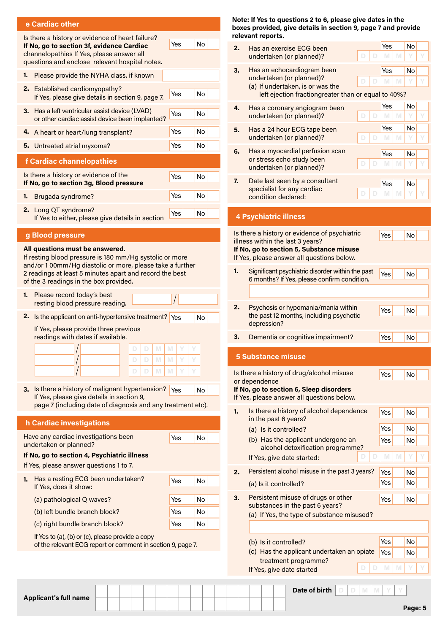| e Cardiac other |  |  |  |  |
|-----------------|--|--|--|--|
|                 |  |  |  |  |

| e Cardiac other                                                                                                                                                                                                                                                                                                                                                                                                                                                                                                                                                                                         |                                  |
|---------------------------------------------------------------------------------------------------------------------------------------------------------------------------------------------------------------------------------------------------------------------------------------------------------------------------------------------------------------------------------------------------------------------------------------------------------------------------------------------------------------------------------------------------------------------------------------------------------|----------------------------------|
| Is there a history or evidence of heart failure?<br>If No, go to section 3f, evidence Cardiac<br>channelopathies If Yes, please answer all<br>questions and enclose relevant hospital notes.                                                                                                                                                                                                                                                                                                                                                                                                            | No<br>Yes                        |
| 1.<br>Please provide the NYHA class, if known                                                                                                                                                                                                                                                                                                                                                                                                                                                                                                                                                           |                                  |
| 2.<br>Established cardiomyopathy?<br>If Yes, please give details in section 9, page 7.                                                                                                                                                                                                                                                                                                                                                                                                                                                                                                                  | No<br>Yes                        |
| Has a left ventricular assist device (LVAD)<br>3.<br>or other cardiac assist device been implanted?                                                                                                                                                                                                                                                                                                                                                                                                                                                                                                     | Yes<br>No                        |
| 4.<br>A heart or heart/lung transplant?                                                                                                                                                                                                                                                                                                                                                                                                                                                                                                                                                                 | Yes<br>No                        |
| Untreated atrial myxoma?<br>5.                                                                                                                                                                                                                                                                                                                                                                                                                                                                                                                                                                          | Yes<br>No                        |
| <b>f Cardiac channelopathies</b>                                                                                                                                                                                                                                                                                                                                                                                                                                                                                                                                                                        |                                  |
| Is there a history or evidence of the<br>If No, go to section 3g, Blood pressure                                                                                                                                                                                                                                                                                                                                                                                                                                                                                                                        | No<br>Yes                        |
| Brugada syndrome?<br>1.                                                                                                                                                                                                                                                                                                                                                                                                                                                                                                                                                                                 | Yes<br>No                        |
| Long QT syndrome?<br>2.<br>If Yes to either, please give details in section                                                                                                                                                                                                                                                                                                                                                                                                                                                                                                                             | No<br>Yes                        |
| g Blood pressure                                                                                                                                                                                                                                                                                                                                                                                                                                                                                                                                                                                        |                                  |
| All questions must be answered.<br>If resting blood pressure is 180 mm/Hg systolic or more<br>and/or 100mm/Hg diastolic or more, please take a further<br>2 readings at least 5 minutes apart and record the best<br>of the 3 readings in the box provided.<br>1.<br>Please record today's best<br>resting blood pressure reading.<br>2.<br>Is the applicant on anti-hypertensive treatment?<br>If Yes, please provide three previous<br>readings with dates if available.<br>M<br>D<br>D<br>D<br>M<br>Is there a history of malignant hypertension?<br>3.<br>If Yes, please give details in section 9, | Yes<br>No<br>M<br>M<br>Yes<br>No |
| page 7 (including date of diagnosis and any treatment etc).<br><b>h Cardiac investigations</b>                                                                                                                                                                                                                                                                                                                                                                                                                                                                                                          |                                  |
| Have any cardiac investigations been<br>undertaken or planned?                                                                                                                                                                                                                                                                                                                                                                                                                                                                                                                                          | Yes<br>No                        |
| If No, go to section 4, Psychiatric illness<br>If Yes, please answer questions 1 to 7.                                                                                                                                                                                                                                                                                                                                                                                                                                                                                                                  |                                  |
| 1.<br>Has a resting ECG been undertaken?<br>If Yes, does it show:                                                                                                                                                                                                                                                                                                                                                                                                                                                                                                                                       | No<br>Yes                        |
| (a) pathological Q waves?                                                                                                                                                                                                                                                                                                                                                                                                                                                                                                                                                                               | No<br>Yes                        |
| (b) left bundle branch block?                                                                                                                                                                                                                                                                                                                                                                                                                                                                                                                                                                           | Yes<br>No                        |
| (c) right bundle branch block?                                                                                                                                                                                                                                                                                                                                                                                                                                                                                                                                                                          | Yes<br>No                        |
| If Yes to (a), (b) or (c), please provide a copy<br>of the relevant ECG report or comment in section 9, page 7.                                                                                                                                                                                                                                                                                                                                                                                                                                                                                         |                                  |
|                                                                                                                                                                                                                                                                                                                                                                                                                                                                                                                                                                                                         |                                  |

**Note: If Yes to questions 2 to 6, please give dates in the boxes provided, give details in section 9, page 7 and provide relevant reports.**

| 2. | Has an exercise ECG been                                                               | Yes      |   | No        |   |
|----|----------------------------------------------------------------------------------------|----------|---|-----------|---|
|    | D<br>D<br>undertaken (or planned)?                                                     | M        | M |           |   |
| 3. | Has an echocardiogram been<br>undertaken (or planned)?                                 | Yes      |   | No        |   |
|    | D<br>D<br>(a) If undertaken, is or was the                                             | M        | M | Υ         |   |
|    | left ejection fractiongreater than or equal to 40%?                                    |          |   |           |   |
| 4. | Has a coronary angiogram been                                                          | Yes      |   | No        |   |
|    | undertaken (or planned)?<br>D<br>D                                                     | M        | M | Υ         | Y |
| 5. | Has a 24 hour ECG tape been<br>undertaken (or planned)?<br>D<br>D                      | Yes<br>M | M | No<br>Υ   | ٧ |
| 6. | Has a myocardial perfusion scan                                                        | Yes      |   | No        |   |
|    | or stress echo study been<br>D<br>D<br>undertaken (or planned)?                        | M        | M |           |   |
| 7. | Date last seen by a consultant                                                         | Yes      |   | No        |   |
|    | specialist for any cardiac<br>D<br>D<br>condition declared:                            | M        | M |           |   |
|    |                                                                                        |          |   |           |   |
|    | <b>4 Psychiatric illness</b>                                                           |          |   |           |   |
|    | Is there a history or evidence of psychiatric                                          | Yes      |   | No        |   |
|    | illness within the last 3 years?                                                       |          |   |           |   |
|    | If No, go to section 5, Substance misuse<br>If Yes, please answer all questions below. |          |   |           |   |
| 1. | Significant psychiatric disorder within the past                                       |          |   |           |   |
|    | 6 months? If Yes, please confirm condition.                                            | Yes      |   | No        |   |
|    |                                                                                        |          |   |           |   |
| 2. | Psychosis or hypomania/mania within                                                    |          |   |           |   |
|    | the past 12 months, including psychotic                                                | Yes      |   | <b>No</b> |   |
|    | depression?                                                                            |          |   |           |   |
| 3. | Dementia or cognitive impairment?                                                      | Yes      |   | No        |   |
|    | <b>5 Substance misuse</b>                                                              |          |   |           |   |
|    | Is there a history of drug/alcohol misuse                                              | Yes      |   | No        |   |
|    | or dependence<br>If No, go to section 6, Sleep disorders                               |          |   |           |   |
|    | If Yes, please answer all questions below.                                             |          |   |           |   |
| 1. | Is there a history of alcohol dependence                                               | Yes      |   | No        |   |
|    | in the past 6 years?                                                                   |          |   |           |   |
|    | (a) Is it controlled?                                                                  | Yes      |   | No        |   |
|    | (b) Has the applicant undergone an<br>alcohol detoxification programme?                | Yes      |   | No        |   |
|    | D<br>If Yes, give date started:                                                        | M        | M | v         |   |
| 2. | Persistent alcohol misuse in the past 3 years?                                         | Yes      |   | No        |   |
|    | (a) Is it controlled?                                                                  | Yes      |   | No        |   |
| 3. | Persistent misuse of drugs or other                                                    | Yes      |   | No        |   |
|    | substances in the past 6 years?                                                        |          |   |           |   |
|    | (a) If Yes, the type of substance misused?                                             |          |   |           |   |
|    |                                                                                        |          |   |           |   |
|    | (b) Is it controlled?                                                                  | Yes      |   | No        |   |
|    | (c) Has the applicant undertaken an opiate                                             | Yes      |   | No        |   |
|    | treatment programme?<br>D<br>D<br>If Yes, give date started                            | M        | M |           |   |
|    |                                                                                        |          |   |           |   |

**Applicant's full name**

**Date of birth**  $\boxed{D}$   $\boxed{D}$   $\boxed{M}$   $\boxed{M}$   $\boxed{Y}$   $\boxed{Y}$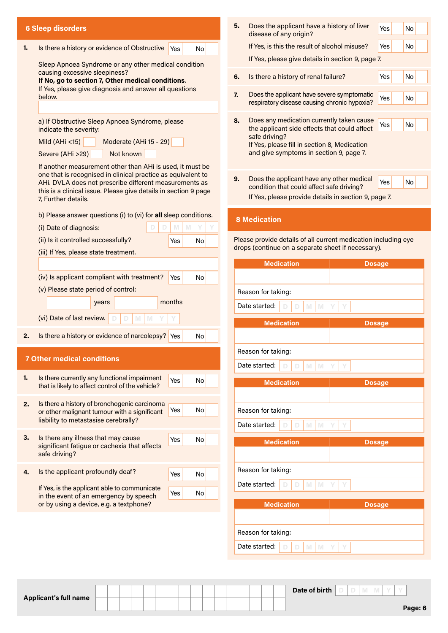|                                             | <b>6 Sleep disorders</b>                                                                                                  | 5. | Does the applicant have a history of liver<br>disease of any origin?                       | Yes           | No |
|---------------------------------------------|---------------------------------------------------------------------------------------------------------------------------|----|--------------------------------------------------------------------------------------------|---------------|----|
| 1.                                          | Is there a history or evidence of Obstructive<br><b>No</b><br>Yes                                                         |    | If Yes, is this the result of alcohol misuse?                                              | Yes           | No |
|                                             |                                                                                                                           |    | If Yes, please give details in section 9, page 7.                                          |               |    |
|                                             | Sleep Apnoea Syndrome or any other medical condition<br>causing excessive sleepiness?                                     |    |                                                                                            | Yes           | No |
|                                             | If No, go to section 7, Other medical conditions.<br>If Yes, please give diagnosis and answer all questions               | 6. | Is there a history of renal failure?                                                       |               |    |
|                                             | below.                                                                                                                    | 7. | Does the applicant have severe symptomatic<br>respiratory disease causing chronic hypoxia? | Yes           | No |
|                                             | a) If Obstructive Sleep Apnoea Syndrome, please<br>indicate the severity:                                                 | 8. | Does any medication currently taken cause<br>the applicant side effects that could affect  | Yes           | No |
| Moderate (AHi 15 - 29)<br>Mild $(AHi < 15)$ |                                                                                                                           |    | safe driving?<br>If Yes, please fill in section 8, Medication                              |               |    |
|                                             | Not known<br>Severe (AHi >29)                                                                                             |    | and give symptoms in section 9, page 7.                                                    |               |    |
|                                             | If another measurement other than AHi is used, it must be                                                                 |    |                                                                                            |               |    |
|                                             | one that is recognised in clinical practice as equivalent to                                                              | 9. | Does the applicant have any other medical                                                  |               | No |
|                                             | AHi. DVLA does not prescribe different measurements as<br>this is a clinical issue. Please give details in section 9 page |    | condition that could affect safe driving?                                                  | Yes           |    |
|                                             | 7, Further details.                                                                                                       |    | If Yes, please provide details in section 9, page 7.                                       |               |    |
|                                             | b) Please answer questions (i) to (vi) for all sleep conditions.                                                          |    | <b>8 Medication</b>                                                                        |               |    |
|                                             | M<br>(i) Date of diagnosis:<br>M                                                                                          |    |                                                                                            |               |    |
|                                             | (ii) Is it controlled successfully?<br>No<br>Yes                                                                          |    | Please provide details of all current medication including eye                             |               |    |
|                                             | (iii) If Yes, please state treatment.                                                                                     |    | drops (continue on a separate sheet if necessary).                                         |               |    |
|                                             |                                                                                                                           |    | <b>Medication</b>                                                                          | <b>Dosage</b> |    |
|                                             | (iv) Is applicant compliant with treatment?<br>No<br>Yes                                                                  |    |                                                                                            |               |    |
|                                             | (v) Please state period of control:                                                                                       |    | Reason for taking:                                                                         |               |    |
|                                             | months<br>years                                                                                                           |    | Date started:<br>M<br>M<br>D                                                               |               |    |
|                                             | (vi) Date of last review.<br>M<br>M                                                                                       |    |                                                                                            |               |    |
|                                             |                                                                                                                           |    | <b>Medication</b>                                                                          | <b>Dosage</b> |    |
| 2.                                          | Is there a history or evidence of narcolepsy?<br>No<br><b>Yes</b>                                                         |    |                                                                                            |               |    |
|                                             |                                                                                                                           |    | Reason for taking:                                                                         |               |    |
|                                             | <b>7 Other medical conditions</b>                                                                                         |    | Date started:<br>$\mathbb N$<br>D<br>M                                                     |               |    |
| 1.                                          | Is there currently any functional impairment<br>Yes<br>No                                                                 |    | <b>Medication</b>                                                                          | <b>Dosage</b> |    |
|                                             | that is likely to affect control of the vehicle?                                                                          |    |                                                                                            |               |    |
| 2.                                          | Is there a history of bronchogenic carcinoma                                                                              |    |                                                                                            |               |    |
|                                             | Yes<br>No<br>or other malignant tumour with a significant<br>liability to metastasise cerebrally?                         |    | Reason for taking:                                                                         |               |    |
|                                             |                                                                                                                           |    | Date started:<br>$\mathbb N$<br>$\mathbb N$<br>D                                           |               |    |
| 3.                                          | Is there any illness that may cause<br>No<br>Yes                                                                          |    | <b>Medication</b>                                                                          | <b>Dosage</b> |    |
|                                             | significant fatigue or cachexia that affects<br>safe driving?                                                             |    |                                                                                            |               |    |
|                                             |                                                                                                                           |    |                                                                                            |               |    |
| 4.                                          | Is the applicant profoundly deaf?<br>No<br>Yes                                                                            |    | Reason for taking:                                                                         |               |    |
|                                             | If Yes, is the applicant able to communicate<br>No<br>Yes                                                                 |    | Date started:<br>$\mathbb N$<br>$\mathbb N$<br>D<br>D                                      |               |    |
|                                             | in the event of an emergency by speech<br>or by using a device, e.g. a textphone?                                         |    | <b>Medication</b>                                                                          |               |    |
|                                             |                                                                                                                           |    |                                                                                            | <b>Dosage</b> |    |
|                                             |                                                                                                                           |    |                                                                                            |               |    |
|                                             |                                                                                                                           |    | Reason for taking:                                                                         |               |    |
|                                             |                                                                                                                           |    | Date started:<br>$\mathbb N$<br>$\mathbb N$<br>$\mathbb D$<br>D                            |               |    |

|  | <b>Applicant's full name</b> |  |  |
|--|------------------------------|--|--|
|--|------------------------------|--|--|

**Page: 6**

**Date of birth D D M M Y Y**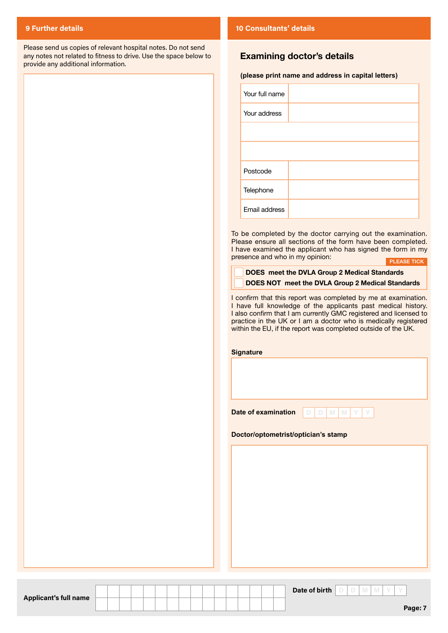Please send us copies of relevant hospital notes. Do not send any notes not related to fitness to drive. Use the space below to provide any additional information.

#### **9 Further details 10 Consultants' details**

#### **Examining doctor's details**

#### **(please print name and address in capital letters)**

| Your full name |  |
|----------------|--|
| Your address   |  |
|                |  |
|                |  |
| Postcode       |  |
| Telephone      |  |
| Email address  |  |

To be completed by the doctor carrying out the examination. Please ensure all sections of the form have been completed. I have examined the applicant who has signed the form in my presence and who in my opinion:

|                                                         | I   PLEASE TICK |
|---------------------------------------------------------|-----------------|
| DOES meet the DVLA Group 2 Medical Standards            |                 |
| <b>DOES NOT meet the DVLA Group 2 Medical Standards</b> |                 |
|                                                         |                 |

I confirm that this report was completed by me at examination. I have full knowledge of the applicants past medical history. I also confirm that I am currently GMC registered and licensed to practice in the UK or I am a doctor who is medically registered within the EU, if the report was completed outside of the UK.

| <b>Signature</b> |  |  |  |
|------------------|--|--|--|
|                  |  |  |  |
|                  |  |  |  |
|                  |  |  |  |
|                  |  |  |  |

**D D M M Y Y**

**Doctor/optometrist/optician's stamp**

**Date of examination**

**Applicant's full name**

 $D$ **date of birth**  $D$   $D$   $M$   $M$   $Y$